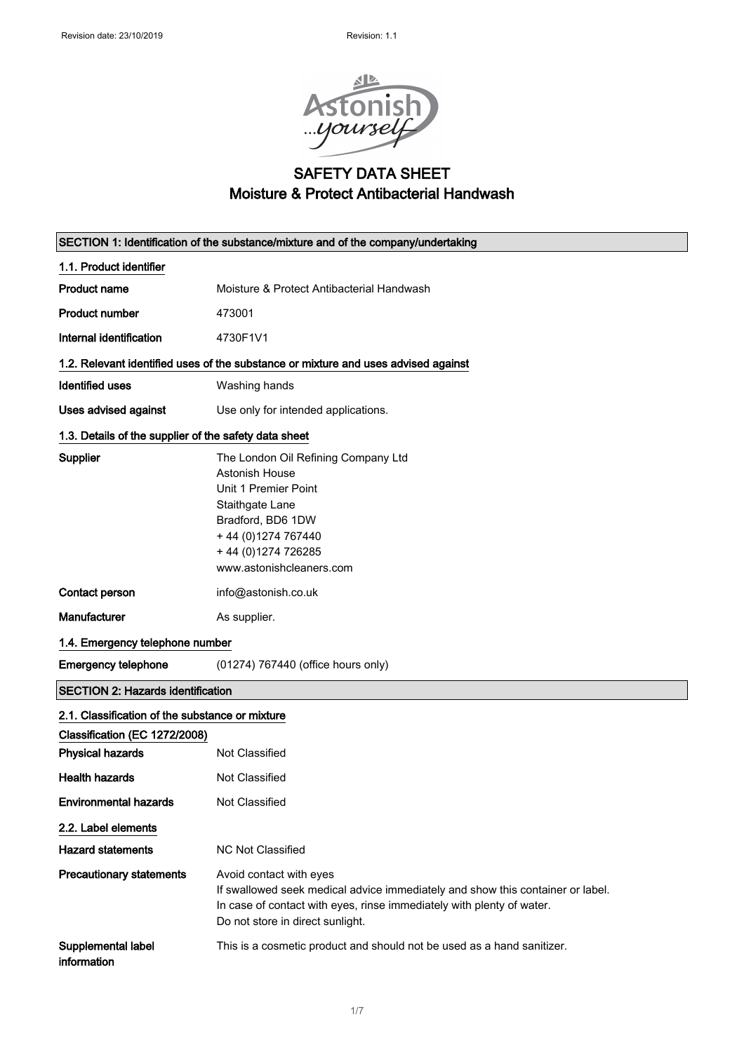

## SAFETY DATA SHEET Moisture & Protect Antibacterial Handwash

| SECTION 1: Identification of the substance/mixture and of the company/undertaking  |                                                                                                                                                                                                                        |  |
|------------------------------------------------------------------------------------|------------------------------------------------------------------------------------------------------------------------------------------------------------------------------------------------------------------------|--|
| 1.1. Product identifier                                                            |                                                                                                                                                                                                                        |  |
| <b>Product name</b>                                                                | Moisture & Protect Antibacterial Handwash                                                                                                                                                                              |  |
| <b>Product number</b>                                                              | 473001                                                                                                                                                                                                                 |  |
| Internal identification                                                            | 4730F1V1                                                                                                                                                                                                               |  |
| 1.2. Relevant identified uses of the substance or mixture and uses advised against |                                                                                                                                                                                                                        |  |
| <b>Identified uses</b>                                                             | Washing hands                                                                                                                                                                                                          |  |
| <b>Uses advised against</b>                                                        | Use only for intended applications.                                                                                                                                                                                    |  |
| 1.3. Details of the supplier of the safety data sheet                              |                                                                                                                                                                                                                        |  |
| <b>Supplier</b>                                                                    | The London Oil Refining Company Ltd<br><b>Astonish House</b><br>Unit 1 Premier Point<br>Staithgate Lane<br>Bradford, BD6 1DW<br>+44 (0) 1274 767440<br>+44 (0)1274 726285<br>www.astonishcleaners.com                  |  |
| Contact person                                                                     | info@astonish.co.uk                                                                                                                                                                                                    |  |
| <b>Manufacturer</b>                                                                | As supplier.                                                                                                                                                                                                           |  |
| 1.4. Emergency telephone number                                                    |                                                                                                                                                                                                                        |  |
| <b>Emergency telephone</b>                                                         | (01274) 767440 (office hours only)                                                                                                                                                                                     |  |
| <b>SECTION 2: Hazards identification</b>                                           |                                                                                                                                                                                                                        |  |
| 2.1. Classification of the substance or mixture                                    |                                                                                                                                                                                                                        |  |
| Classification (EC 1272/2008)                                                      |                                                                                                                                                                                                                        |  |
| <b>Physical hazards</b>                                                            | Not Classified                                                                                                                                                                                                         |  |
| <b>Health hazards</b>                                                              | Not Classified                                                                                                                                                                                                         |  |
| <b>Environmental hazards</b>                                                       | Not Classified                                                                                                                                                                                                         |  |
| 2.2. Label elements                                                                |                                                                                                                                                                                                                        |  |
| <b>Hazard statements</b>                                                           | <b>NC Not Classified</b>                                                                                                                                                                                               |  |
| <b>Precautionary statements</b>                                                    | Avoid contact with eyes<br>If swallowed seek medical advice immediately and show this container or label.<br>In case of contact with eyes, rinse immediately with plenty of water.<br>Do not store in direct sunlight. |  |
| Supplemental label<br>information                                                  | This is a cosmetic product and should not be used as a hand sanitizer.                                                                                                                                                 |  |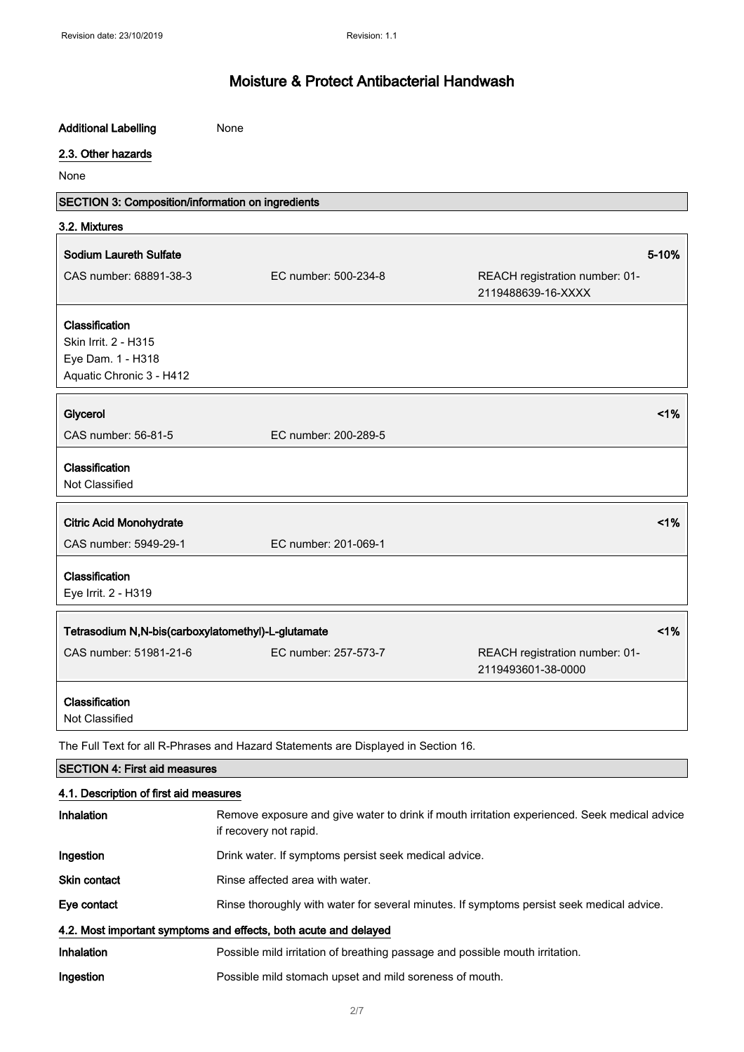| <b>Additional Labelling</b>                                      | None                                                                                                                   |                                                      |
|------------------------------------------------------------------|------------------------------------------------------------------------------------------------------------------------|------------------------------------------------------|
| 2.3. Other hazards                                               |                                                                                                                        |                                                      |
| None                                                             |                                                                                                                        |                                                      |
| SECTION 3: Composition/information on ingredients                |                                                                                                                        |                                                      |
| 3.2. Mixtures                                                    |                                                                                                                        |                                                      |
| <b>Sodium Laureth Sulfate</b>                                    |                                                                                                                        | 5-10%                                                |
| CAS number: 68891-38-3                                           | EC number: 500-234-8                                                                                                   | REACH registration number: 01-<br>2119488639-16-XXXX |
| Classification                                                   |                                                                                                                        |                                                      |
| Skin Irrit. 2 - H315                                             |                                                                                                                        |                                                      |
| Eye Dam. 1 - H318                                                |                                                                                                                        |                                                      |
| Aquatic Chronic 3 - H412                                         |                                                                                                                        |                                                      |
| Glycerol                                                         |                                                                                                                        | 1%                                                   |
| CAS number: 56-81-5                                              | EC number: 200-289-5                                                                                                   |                                                      |
| Classification<br>Not Classified                                 |                                                                                                                        |                                                      |
| <b>Citric Acid Monohydrate</b>                                   |                                                                                                                        | 1%                                                   |
| CAS number: 5949-29-1                                            | EC number: 201-069-1                                                                                                   |                                                      |
| Classification<br>Eye Irrit. 2 - H319                            |                                                                                                                        |                                                      |
| Tetrasodium N,N-bis(carboxylatomethyl)-L-glutamate               |                                                                                                                        | 1%                                                   |
| CAS number: 51981-21-6                                           | EC number: 257-573-7                                                                                                   | REACH registration number: 01-<br>2119493601-38-0000 |
| Classification<br>Not Classified                                 |                                                                                                                        |                                                      |
|                                                                  | The Full Text for all R-Phrases and Hazard Statements are Displayed in Section 16.                                     |                                                      |
| <b>SECTION 4: First aid measures</b>                             |                                                                                                                        |                                                      |
| 4.1. Description of first aid measures                           |                                                                                                                        |                                                      |
| Inhalation                                                       | Remove exposure and give water to drink if mouth irritation experienced. Seek medical advice<br>if recovery not rapid. |                                                      |
| Ingestion                                                        | Drink water. If symptoms persist seek medical advice.                                                                  |                                                      |
| Skin contact                                                     | Rinse affected area with water.                                                                                        |                                                      |
| Eye contact                                                      | Rinse thoroughly with water for several minutes. If symptoms persist seek medical advice.                              |                                                      |
| 4.2. Most important symptoms and effects, both acute and delayed |                                                                                                                        |                                                      |
| Inhalation                                                       | Possible mild irritation of breathing passage and possible mouth irritation.                                           |                                                      |
| Ingestion                                                        | Possible mild stomach upset and mild soreness of mouth.                                                                |                                                      |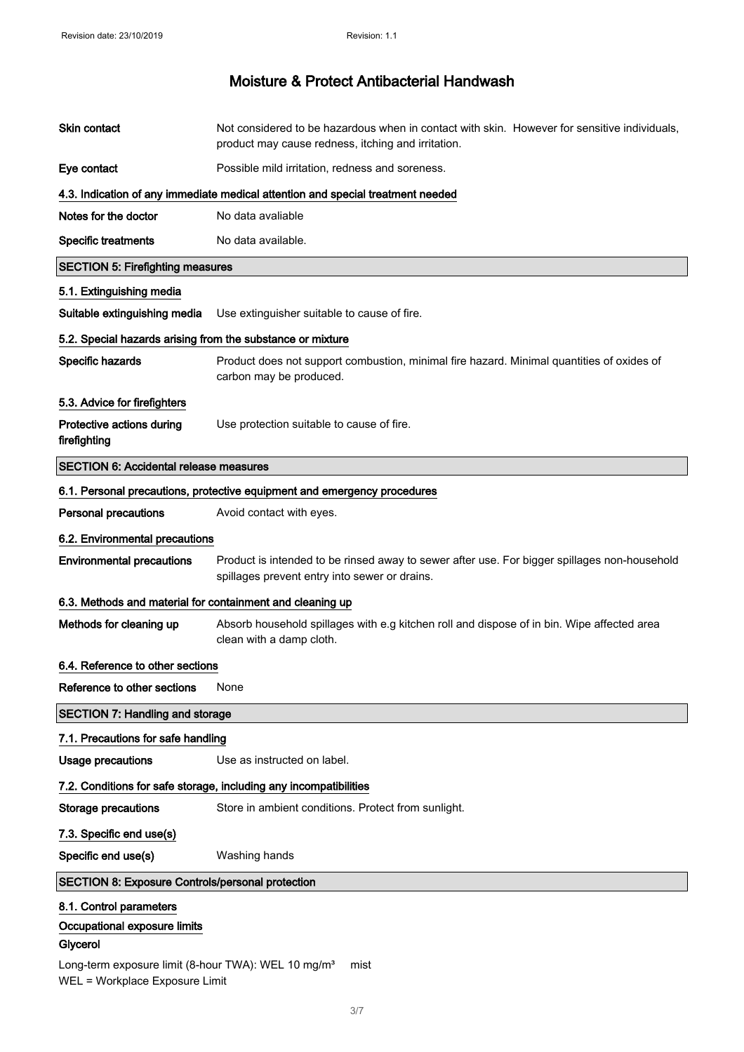| Skin contact                                                                | Not considered to be hazardous when in contact with skin. However for sensitive individuals,<br>product may cause redness, itching and irritation. |  |
|-----------------------------------------------------------------------------|----------------------------------------------------------------------------------------------------------------------------------------------------|--|
| Eye contact                                                                 | Possible mild irritation, redness and soreness.                                                                                                    |  |
|                                                                             | 4.3. Indication of any immediate medical attention and special treatment needed                                                                    |  |
| Notes for the doctor                                                        | No data avaliable                                                                                                                                  |  |
| <b>Specific treatments</b>                                                  | No data available.                                                                                                                                 |  |
| <b>SECTION 5: Firefighting measures</b>                                     |                                                                                                                                                    |  |
| 5.1. Extinguishing media                                                    |                                                                                                                                                    |  |
| Suitable extinguishing media                                                | Use extinguisher suitable to cause of fire.                                                                                                        |  |
| 5.2. Special hazards arising from the substance or mixture                  |                                                                                                                                                    |  |
| Specific hazards                                                            | Product does not support combustion, minimal fire hazard. Minimal quantities of oxides of<br>carbon may be produced.                               |  |
| 5.3. Advice for firefighters                                                |                                                                                                                                                    |  |
| Protective actions during<br>firefighting                                   | Use protection suitable to cause of fire.                                                                                                          |  |
| <b>SECTION 6: Accidental release measures</b>                               |                                                                                                                                                    |  |
|                                                                             | 6.1. Personal precautions, protective equipment and emergency procedures                                                                           |  |
| <b>Personal precautions</b>                                                 | Avoid contact with eyes.                                                                                                                           |  |
| 6.2. Environmental precautions                                              |                                                                                                                                                    |  |
| <b>Environmental precautions</b>                                            | Product is intended to be rinsed away to sewer after use. For bigger spillages non-household<br>spillages prevent entry into sewer or drains.      |  |
| 6.3. Methods and material for containment and cleaning up                   |                                                                                                                                                    |  |
| Methods for cleaning up                                                     | Absorb household spillages with e.g kitchen roll and dispose of in bin. Wipe affected area<br>clean with a damp cloth.                             |  |
| 6.4. Reference to other sections                                            |                                                                                                                                                    |  |
| Reference to other sections                                                 | None                                                                                                                                               |  |
| <b>SECTION 7: Handling and storage</b>                                      |                                                                                                                                                    |  |
| 7.1. Precautions for safe handling                                          |                                                                                                                                                    |  |
| <b>Usage precautions</b>                                                    | Use as instructed on label.                                                                                                                        |  |
| 7.2. Conditions for safe storage, including any incompatibilities           |                                                                                                                                                    |  |
| <b>Storage precautions</b>                                                  |                                                                                                                                                    |  |
|                                                                             | Store in ambient conditions. Protect from sunlight.                                                                                                |  |
| 7.3. Specific end use(s)                                                    |                                                                                                                                                    |  |
| Specific end use(s)                                                         | Washing hands                                                                                                                                      |  |
| <b>SECTION 8: Exposure Controls/personal protection</b>                     |                                                                                                                                                    |  |
| 8.1. Control parameters                                                     |                                                                                                                                                    |  |
| Occupational exposure limits                                                |                                                                                                                                                    |  |
| Glycerol<br>Long-term exposure limit (8-hour TWA): WEL 10 mg/m <sup>3</sup> | mist                                                                                                                                               |  |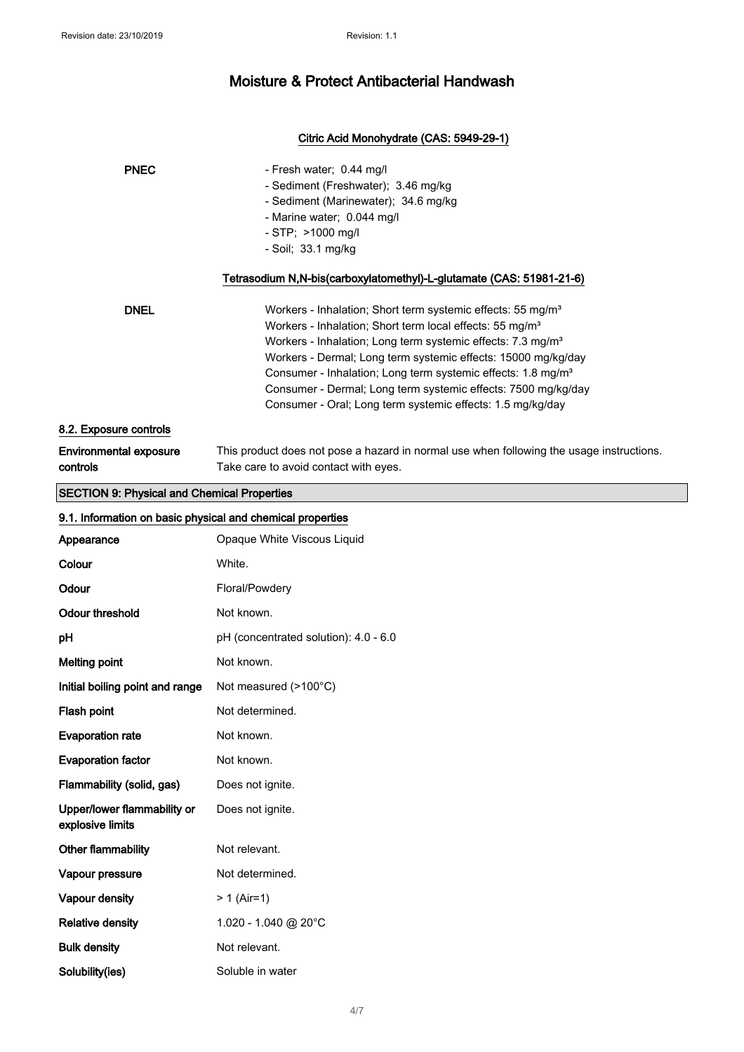### Citric Acid Monohydrate (CAS: 5949-29-1)

| <b>PNEC</b>                                                | - Fresh water; 0.44 mg/l<br>- Sediment (Freshwater); 3.46 mg/kg<br>- Sediment (Marinewater); 34.6 mg/kg<br>- Marine water; 0.044 mg/l<br>- STP; >1000 mg/l<br>- Soil; 33.1 mg/kg<br>Tetrasodium N,N-bis(carboxylatomethyl)-L-glutamate (CAS: 51981-21-6)                                                                                                                                                                                                                                               |
|------------------------------------------------------------|--------------------------------------------------------------------------------------------------------------------------------------------------------------------------------------------------------------------------------------------------------------------------------------------------------------------------------------------------------------------------------------------------------------------------------------------------------------------------------------------------------|
| <b>DNEL</b>                                                | Workers - Inhalation; Short term systemic effects: 55 mg/m <sup>3</sup><br>Workers - Inhalation; Short term local effects: 55 mg/m <sup>3</sup><br>Workers - Inhalation; Long term systemic effects: 7.3 mg/m <sup>3</sup><br>Workers - Dermal; Long term systemic effects: 15000 mg/kg/day<br>Consumer - Inhalation; Long term systemic effects: 1.8 mg/m <sup>3</sup><br>Consumer - Dermal; Long term systemic effects: 7500 mg/kg/day<br>Consumer - Oral; Long term systemic effects: 1.5 mg/kg/day |
| 8.2. Exposure controls                                     |                                                                                                                                                                                                                                                                                                                                                                                                                                                                                                        |
| <b>Environmental exposure</b><br>controls                  | This product does not pose a hazard in normal use when following the usage instructions.<br>Take care to avoid contact with eyes.                                                                                                                                                                                                                                                                                                                                                                      |
| <b>SECTION 9: Physical and Chemical Properties</b>         |                                                                                                                                                                                                                                                                                                                                                                                                                                                                                                        |
| 9.1. Information on basic physical and chemical properties |                                                                                                                                                                                                                                                                                                                                                                                                                                                                                                        |
| Appearance                                                 | Opaque White Viscous Liquid                                                                                                                                                                                                                                                                                                                                                                                                                                                                            |
| Colour                                                     | White.                                                                                                                                                                                                                                                                                                                                                                                                                                                                                                 |
| Odour                                                      | Floral/Powdery                                                                                                                                                                                                                                                                                                                                                                                                                                                                                         |
| <b>Odour threshold</b>                                     | Not known.                                                                                                                                                                                                                                                                                                                                                                                                                                                                                             |
| рH                                                         | pH (concentrated solution): 4.0 - 6.0                                                                                                                                                                                                                                                                                                                                                                                                                                                                  |
| <b>Melting point</b>                                       | Not known.                                                                                                                                                                                                                                                                                                                                                                                                                                                                                             |
| Initial boiling point and range                            | Not measured (>100°C)                                                                                                                                                                                                                                                                                                                                                                                                                                                                                  |
| Flash point                                                | Not determined.                                                                                                                                                                                                                                                                                                                                                                                                                                                                                        |
| <b>Evaporation rate</b>                                    | Not known.                                                                                                                                                                                                                                                                                                                                                                                                                                                                                             |
| <b>Evaporation factor</b>                                  | Not known.                                                                                                                                                                                                                                                                                                                                                                                                                                                                                             |
| Flammability (solid, gas)                                  | Does not ignite.                                                                                                                                                                                                                                                                                                                                                                                                                                                                                       |
| Upper/lower flammability or<br>explosive limits            | Does not ignite.                                                                                                                                                                                                                                                                                                                                                                                                                                                                                       |
| Other flammability                                         | Not relevant.                                                                                                                                                                                                                                                                                                                                                                                                                                                                                          |
| Vapour pressure                                            | Not determined.                                                                                                                                                                                                                                                                                                                                                                                                                                                                                        |
| Vapour density                                             | $> 1$ (Air=1)                                                                                                                                                                                                                                                                                                                                                                                                                                                                                          |
| <b>Relative density</b>                                    | 1.020 - 1.040 @ 20°C                                                                                                                                                                                                                                                                                                                                                                                                                                                                                   |
| <b>Bulk density</b>                                        | Not relevant.                                                                                                                                                                                                                                                                                                                                                                                                                                                                                          |

Solubility(ies) Soluble in water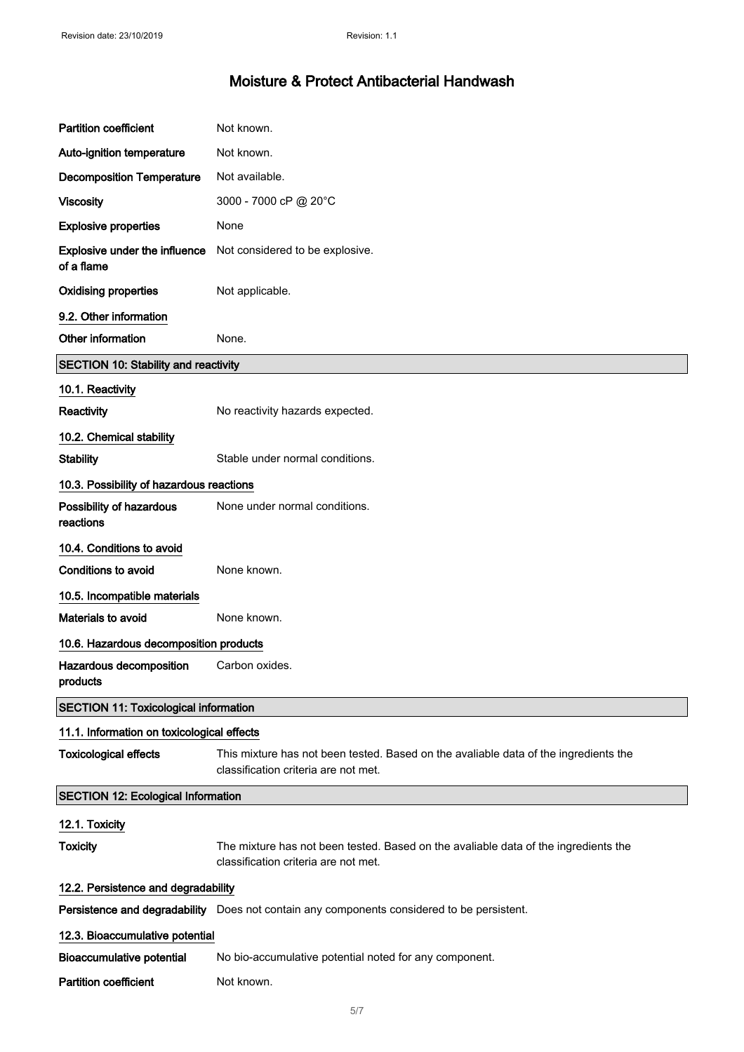| <b>Partition coefficient</b>                       | Not known.                                                                                                                   |  |
|----------------------------------------------------|------------------------------------------------------------------------------------------------------------------------------|--|
| Auto-ignition temperature                          | Not known.                                                                                                                   |  |
| <b>Decomposition Temperature</b>                   | Not available.                                                                                                               |  |
| <b>Viscosity</b>                                   | 3000 - 7000 cP @ 20°C                                                                                                        |  |
| <b>Explosive properties</b>                        | None                                                                                                                         |  |
| <b>Explosive under the influence</b><br>of a flame | Not considered to be explosive.                                                                                              |  |
| <b>Oxidising properties</b>                        | Not applicable.                                                                                                              |  |
| 9.2. Other information                             |                                                                                                                              |  |
| Other information                                  | None.                                                                                                                        |  |
| <b>SECTION 10: Stability and reactivity</b>        |                                                                                                                              |  |
| 10.1. Reactivity                                   |                                                                                                                              |  |
| Reactivity                                         | No reactivity hazards expected.                                                                                              |  |
| 10.2. Chemical stability                           |                                                                                                                              |  |
| <b>Stability</b>                                   | Stable under normal conditions.                                                                                              |  |
| 10.3. Possibility of hazardous reactions           |                                                                                                                              |  |
| Possibility of hazardous<br>reactions              | None under normal conditions.                                                                                                |  |
| 10.4. Conditions to avoid                          |                                                                                                                              |  |
| Conditions to avoid                                | None known.                                                                                                                  |  |
| 10.5. Incompatible materials                       |                                                                                                                              |  |
| Materials to avoid                                 | None known.                                                                                                                  |  |
| 10.6. Hazardous decomposition products             |                                                                                                                              |  |
| Hazardous decomposition<br>products                | Carbon oxides.                                                                                                               |  |
| <b>SECTION 11: Toxicological information</b>       |                                                                                                                              |  |
| 11.1. Information on toxicological effects         |                                                                                                                              |  |
| <b>Toxicological effects</b>                       | This mixture has not been tested. Based on the avaliable data of the ingredients the<br>classification criteria are not met. |  |
| <b>SECTION 12: Ecological Information</b>          |                                                                                                                              |  |
| 12.1. Toxicity                                     |                                                                                                                              |  |
| <b>Toxicity</b>                                    | The mixture has not been tested. Based on the avaliable data of the ingredients the<br>classification criteria are not met.  |  |
| 12.2. Persistence and degradability                |                                                                                                                              |  |
|                                                    | Persistence and degradability Does not contain any components considered to be persistent.                                   |  |
| 12.3. Bioaccumulative potential                    |                                                                                                                              |  |
| <b>Bioaccumulative potential</b>                   | No bio-accumulative potential noted for any component.                                                                       |  |
| <b>Partition coefficient</b>                       | Not known.                                                                                                                   |  |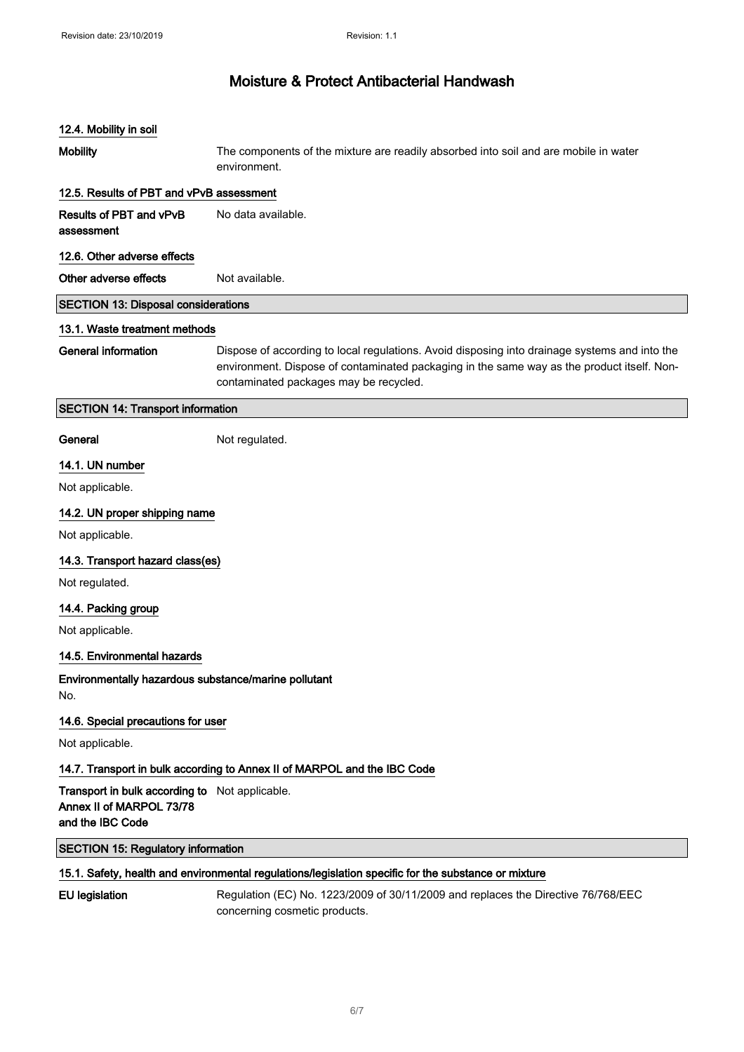# 12.4. Mobility in soil Mobility The components of the mixture are readily absorbed into soil and are mobile in water environment. 12.5. Results of PBT and vPvB assessment Results of PBT and vPvB assessment No data available. 12.6. Other adverse effects Other adverse effects Not available. SECTION 13: Disposal considerations 13.1. Waste treatment methods General information Dispose of according to local regulations. Avoid disposing into drainage systems and into the environment. Dispose of contaminated packaging in the same way as the product itself. Noncontaminated packages may be recycled. SECTION 14: Transport information General Not regulated. 14.1. UN number Not applicable. 14.2. UN proper shipping name Not applicable. 14.3. Transport hazard class(es) Not regulated. 14.4. Packing group Not applicable. 14.5. Environmental hazards Environmentally hazardous substance/marine pollutant No. 14.6. Special precautions for user Not applicable. 14.7. Transport in bulk according to Annex II of MARPOL and the IBC Code Transport in bulk according to Not applicable. Annex II of MARPOL 73/78 and the IBC Code SECTION 15: Regulatory information 15.1. Safety, health and environmental regulations/legislation specific for the substance or mixture EU legislation Regulation (EC) No. 1223/2009 of 30/11/2009 and replaces the Directive 76/768/EEC concerning cosmetic products.